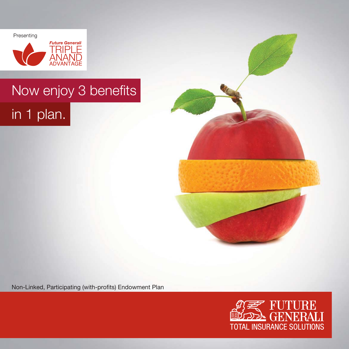Presenting



# Now enjoy 3 benefits in 1 plan.



Non-Linked, Participating (with-profits) Endowment Plan

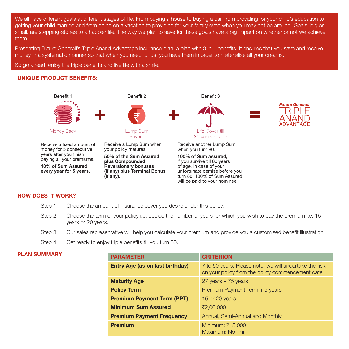We all have different goals at different stages of life. From buying a house to buying a car, from providing for your child's education to getting your child married and from going on a vacation to providing for your family even when you may not be around. Goals, big or small, are stepping-stones to a happier life. The way we plan to save for these goals have a big impact on whether or not we achieve them.

Presenting Future Generali's Triple Anand Advantage insurance plan, a plan with 3 in 1 benefits. It ensures that you save and receive money in a systematic manner so that when you need funds, you have them in order to materialise all your dreams.

So go ahead, enjoy the triple benefits and live life with a smile.

# **UNIQUE PRODUCT BENEFITS:**



Receive a fixed amount of money for 5 consecutive<br>years after you finish paying all your premiums.

**10% of Sum Assured every year for 5 years.**



Money Back Lump Sum<br>Payout Lump Sum

Receive a Lump Sum when your policy matures.

**50% of the Sum Assured plus Compounded Reversionary bonuses (if any) plus Terminal Bonus (if any).**





if you survive till 80 years of age. In case of your unfortunate demise before you turn 80, 100% of Sum Assured will be paid to your nominee.

#### **HOW DOES IT WORK?**

- Step 1: Choose the amount of insurance cover you desire under this policy.
- Step 2: Choose the term of your policy i.e. decide the number of years for which you wish to pay the premium i.e. 15 years or 20 years.
- Step 3: Our sales representative will help you calculate your premium and provide you a customised benefit illustration.
- Step 4: Get ready to enjoy triple benefits till you turn 80.

# **PLAN SUMMARY**

| <b>PARAMETER</b>                       | <b>CRITERION</b>                                                                                           |
|----------------------------------------|------------------------------------------------------------------------------------------------------------|
| <b>Entry Age (as on last birthday)</b> | 7 to 50 years. Please note, we will undertake the risk<br>on your policy from the policy commencement date |
| <b>Maturity Age</b>                    | $27$ years $-75$ years                                                                                     |
| <b>Policy Term</b>                     | Premium Payment Term + 5 years                                                                             |
| <b>Premium Payment Term (PPT)</b>      | 15 or 20 years                                                                                             |
| <b>Minimum Sum Assured</b>             | ₹2,00,000                                                                                                  |
| <b>Premium Payment Frequency</b>       | Annual, Semi-Annual and Monthly                                                                            |
| <b>Premium</b>                         | Minimum: ₹15,000<br>Maximum: No limit                                                                      |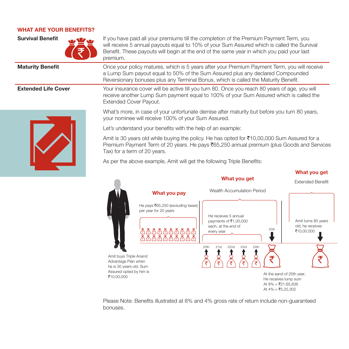#### **WHAT ARE YOUR BENEFITS?**



**Survival Benefit If** you have paid all your premiums till the completion of the Premium Payment Term, you will receive 5 annual payouts equal to 10% of your Sum Assured which is called the Survival Benefit. These payouts will begin at the end of the same year in which you paid your last premium.

**Maturity Benefit Dramage School** Once your policy matures, which is 5 years after your Premium Payment Term, you will receive a Lump Sum payout equal to 50% of the Sum Assured plus any declared Compounded Reversionary bonuses plus any Terminal Bonus, which is called the Maturity Benefit.

**Extended Life Cover Your insurance cover will be active till you turn 80. Once you reach 80 years of age, you will** receive another Lump Sum payment equal to 100% of your Sum Assured which is called the Extended Cover Payout.



What's more, in case of your unfortunate demise after maturity but before you turn 80 years, your nominee will receive 100% of your Sum Assured.

Let's understand your benefits with the help of an example:

Amit is 30 years old while buying the policy. He has opted for  $\bar{c}10,00,000$  Sum Assured for a Premium Payment Term of 20 years. He pays  $\bar{c}$ 65,250 annual premium (plus Goods and Services Tax) for a term of 20 years.

As per the above example, Amit will get the following Triple Benefits:



Please Note: Benefits illustrated at 8% and 4% gross rate of return include non-guaranteed bonuses.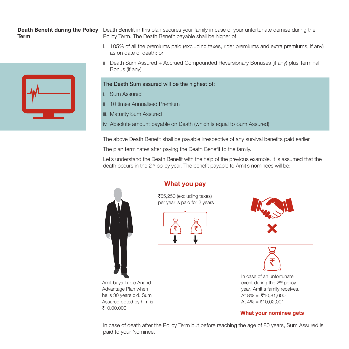# **Term**



**Death Benefit during the Policy** Death Benefit in this plan secures your family in case of your unfortunate demise during the Policy Term. The Death Benefit payable shall be higher of:

- i. 105% of all the premiums paid (excluding taxes, rider premiums and extra premiums, if any) as on date of death; or
- ii. Death Sum Assured + Accrued Compounded Reversionary Bonuses (if any) plus Terminal Bonus (if any)

# The Death Sum assured will be the highest of:

- i. Sum Assured
- ii. 10 times Annualised Premium
- iii. Maturity Sum Assured
- iv. Absolute amount payable on Death (which is equal to Sum Assured)

The above Death Benefit shall be payable irrespective of any survival benefits paid earlier.

The plan terminates after paying the Death Benefit to the family.

Let's understand the Death Benefit with the help of the previous example. It is assumed that the death occurs in the 2<sup>nd</sup> policy year. The benefit payable to Amit's nominees will be:



#### Amit buys Triple Anand Advantage Plan when he is 30 years old. Sum Assured opted by him is `10,00,000

`65,250 (excluding taxes) per year is paid for 2 years

**What you pay**





₹

In case of an unfortunate event during the 2nd policy year, Amit's family receives, At  $8\% = ₹10.81,600$ At  $4\% = ₹10.02,001$ 

# **What your nominee gets**

In case of death after the Policy Term but before reaching the age of 80 years, Sum Assured is paid to your Nominee.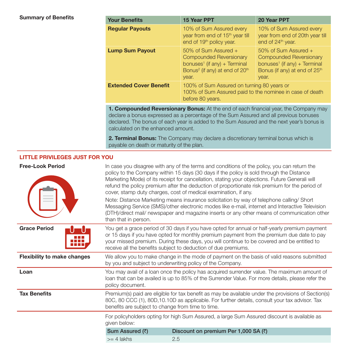# **Summary of Benefits**

| <b>Your Benefits</b>          | 15 Year PPT                                                                                                                                                         | 20 Year PPT                                                                                                                                       |
|-------------------------------|---------------------------------------------------------------------------------------------------------------------------------------------------------------------|---------------------------------------------------------------------------------------------------------------------------------------------------|
| <b>Regular Payouts</b>        | 10% of Sum Assured every<br>year from end of 15 <sup>th</sup> year till<br>end of 19 <sup>th</sup> policy year.                                                     | 10% of Sum Assured every<br>year from end of 20th year till<br>end of 24 <sup>th</sup> year.                                                      |
| <b>Lump Sum Payout</b>        | $50\%$ of Sum Assured $+$<br>Compounded Reversionary<br>bonuses <sup>1</sup> (if any) + Terminal<br>Bonus <sup>2</sup> (if any) at end of 20 <sup>th</sup><br>year. | 50% of Sum Assured +<br>Compounded Reversionary<br>bonuses <sup>1</sup> (if any) + Terminal<br>Bonus (if any) at end of 25 <sup>th</sup><br>year. |
| <b>Extended Cover Benefit</b> | 100% of Sum Assured on turning 80 years or<br>100% of Sum Assured paid to the nominee in case of death<br>before 80 years.                                          |                                                                                                                                                   |

**1. Compounded Reversionary Bonus:** At the end of each financial year, the Company may declare a bonus expressed as a percentage of the Sum Assured and all previous bonuses declared. The bonus of each year is added to the Sum Assured and the next year's bonus is calculated on the enhanced amount.

**2. Terminal Bonus:** The Company may declare a discretionary terminal bonus which is payable on death or maturity of the plan.

# **LITTLE PRIVILEGES JUST FOR YOU**

| <b>Free-Look Period</b>            | In case you disagree with any of the terms and conditions of the policy, you can return the<br>policy to the Company within 15 days (30 days if the policy is sold through the Distance<br>Marketing Mode) of its receipt for cancellation, stating your objections. Future Generali will<br>refund the policy premium after the deduction of proportionate risk premium for the period of<br>cover, stamp duty charges, cost of medical examination, if any.<br>Note: Distance Marketing means insurance solicitation by way of telephone calling/ Short<br>Messaging Service (SMS)/other electronic modes like e-mail, internet and Interactive Television<br>(DTH)/direct mail/ newspaper and magazine inserts or any other means of communication other<br>than that in person. |                                                                                                                                                                                                       |  |
|------------------------------------|-------------------------------------------------------------------------------------------------------------------------------------------------------------------------------------------------------------------------------------------------------------------------------------------------------------------------------------------------------------------------------------------------------------------------------------------------------------------------------------------------------------------------------------------------------------------------------------------------------------------------------------------------------------------------------------------------------------------------------------------------------------------------------------|-------------------------------------------------------------------------------------------------------------------------------------------------------------------------------------------------------|--|
| <b>Grace Period</b>                | You get a grace period of 30 days if you have opted for annual or half-yearly premium payment<br>or 15 days if you have opted for monthly premium payment from the premium due date to pay<br>your missed premium. During these days, you will continue to be covered and be entitled to<br>receive all the benefits subject to deduction of due premiums.                                                                                                                                                                                                                                                                                                                                                                                                                          |                                                                                                                                                                                                       |  |
| <b>Flexibility to make changes</b> | We allow you to make change in the mode of payment on the basis of valid reasons submitted<br>by you and subject to underwriting policy of the Company.                                                                                                                                                                                                                                                                                                                                                                                                                                                                                                                                                                                                                             |                                                                                                                                                                                                       |  |
| Loan                               | policy document.                                                                                                                                                                                                                                                                                                                                                                                                                                                                                                                                                                                                                                                                                                                                                                    | You may avail of a loan once the policy has acquired surrender value. The maximum amount of<br>loan that can be availed is up to 85% of the Surrender Value. For more details, please refer the       |  |
| <b>Tax Benefits</b>                | benefits are subject to change from time to time.                                                                                                                                                                                                                                                                                                                                                                                                                                                                                                                                                                                                                                                                                                                                   | Premium(s) paid are eligible for tax benefit as may be available under the provisions of Section(s)<br>80C, 80 CCC (1), 80D, 10.10D as applicable. For further details, consult your tax advisor. Tax |  |
|                                    | given below:                                                                                                                                                                                                                                                                                                                                                                                                                                                                                                                                                                                                                                                                                                                                                                        | For policyholders opting for high Sum Assured, a large Sum Assured discount is available as                                                                                                           |  |
|                                    | Sum Assured (₹)                                                                                                                                                                                                                                                                                                                                                                                                                                                                                                                                                                                                                                                                                                                                                                     | Discount on premium Per 1,000 SA (₹)                                                                                                                                                                  |  |
|                                    | $>= 4$ lakhs                                                                                                                                                                                                                                                                                                                                                                                                                                                                                                                                                                                                                                                                                                                                                                        | 2.5                                                                                                                                                                                                   |  |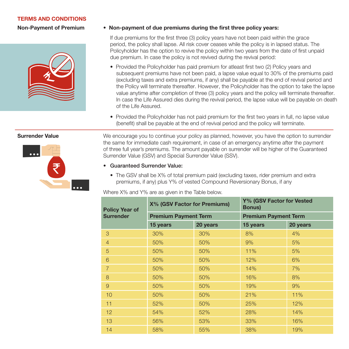## **TERMS AND CONDITIONS**

**Non-Payment of Premium**



## **• Non-payment of due premiums during the first three policy years:**

 If due premiums for the first three (3) policy years have not been paid within the grace period, the policy shall lapse. All risk cover ceases while the policy is in lapsed status. The Policyholder has the option to revive the policy within two years from the date of first unpaid due premium. In case the policy is not revived during the revival period:

- Provided the Policyholder has paid premium for atleast first two (2) Policy years and subsequent premiums have not been paid, a lapse value equal to 30% of the premiums paid (excluding taxes and extra premiums, if any) shall be payable at the end of revival period and the Policy will terminate thereafter. However, the Policyholder has the option to take the lapse value anytime after completion of three (3) policy years and the policy will terminate thereafter. In case the Life Assured dies during the revival period, the lapse value will be payable on death of the Life Assured.
- Provided the Policyholder has not paid premium for the first two years in full, no lapse value (benefit) shall be payable at the end of revival period and the policy will terminate.



**Surrender Value** We encourage you to continue your policy as planned, however, you have the option to surrender the same for immediate cash requirement, in case of an emergency anytime after the payment of three full year's premiums. The amount payable on surrender will be higher of the Guaranteed Surrender Value (GSV) and Special Surrender Value (SSV).

- **Guaranteed Surrender Value:** 
	- The GSV shall be X% of total premium paid (excluding taxes, rider premium and extra premiums, if any) plus Y% of vested Compound Reversionary Bonus, if any

Where X% and Y% are as given in the Table below.

| <b>Policy Year of</b> | <b>X% (GSV Factor for Premiums)</b> |          | Y% (GSV Factor for Vested<br><b>Bonus</b> ) |          |
|-----------------------|-------------------------------------|----------|---------------------------------------------|----------|
| <b>Surrender</b>      | <b>Premium Payment Term</b>         |          | <b>Premium Payment Term</b>                 |          |
|                       | 15 years                            | 20 years | 15 years                                    | 20 years |
| 3                     | 30%                                 | 30%      | 8%                                          | 4%       |
| $\overline{4}$        | 50%                                 | 50%      | 9%                                          | 5%       |
| 5                     | 50%                                 | 50%      | 11%                                         | 5%       |
| 6                     | 50%                                 | 50%      | 12%                                         | 6%       |
| $\overline{7}$        | 50%                                 | 50%      | 14%                                         | 7%       |
| 8                     | 50%                                 | 50%      | 16%                                         | 8%       |
| $\overline{9}$        | 50%                                 | 50%      | 19%                                         | 9%       |
| 10                    | 50%                                 | 50%      | 21%                                         | 11%      |
| 11                    | 52%                                 | 50%      | 25%                                         | 12%      |
| 12 <sup>2</sup>       | 54%                                 | 52%      | 28%                                         | 14%      |
| 13                    | 56%                                 | 53%      | 33%                                         | 16%      |
| 14                    | 58%                                 | 55%      | 38%                                         | 19%      |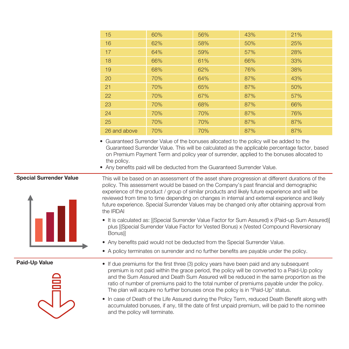| 15           | 60% | 56% | 43% | 21% |
|--------------|-----|-----|-----|-----|
| 16           | 62% | 58% | 50% | 25% |
| 17           | 64% | 59% | 57% | 28% |
| 18           | 66% | 61% | 66% | 33% |
| 19           | 68% | 62% | 76% | 38% |
| 20           | 70% | 64% | 87% | 43% |
| 21           | 70% | 65% | 87% | 50% |
| 22           | 70% | 67% | 87% | 57% |
| 23           | 70% | 68% | 87% | 66% |
| 24           | 70% | 70% | 87% | 76% |
| 25           | 70% | 70% | 87% | 87% |
| 26 and above | 70% | 70% | 87% | 87% |

- Guaranteed Surrender Value of the bonuses allocated to the policy will be added to the Guaranteed Surrender Value. This will be calculated as the applicable percentage factor, based on Premium Payment Term and policy year of surrender, applied to the bonuses allocated to the policy.
- Any benefits paid will be deducted from the Guaranteed Surrender Value.

# **Special Surrender Value**



This will be based on an assessment of the asset share progression at different durations of the policy. This assessment would be based on the Company's past financial and demographic experience of the product / group of similar products and likely future experience and will be reviewed from time to time depending on changes in internal and external experience and likely future experience. Special Surrender Values may be changed only after obtaining approval from the IRDAI

- It is calculated as: [(Special Surrender Value Factor for Sum Assured) x (Paid-up Sum Assured)] plus [(Special Surrender Value Factor for Vested Bonus) x (Vested Compound Reversionary Bonus)]
- Any benefits paid would not be deducted from the Special Surrender Value.
- A policy terminates on surrender and no further benefits are payable under the policy.

**Paid-Up Value**



- If due premiums for the first three (3) policy years have been paid and any subsequent premium is not paid within the grace period, the policy will be converted to a Paid-Up policy and the Sum Assured and Death Sum Assured will be reduced in the same proportion as the ratio of number of premiums paid to the total number of premiums payable under the policy. The plan will acquire no further bonuses once the policy is in "Paid-Up" status.
- In case of Death of the Life Assured during the Policy Term, reduced Death Benefit along with accumulated bonuses, if any, till the date of first unpaid premium, will be paid to the nominee and the policy will terminate.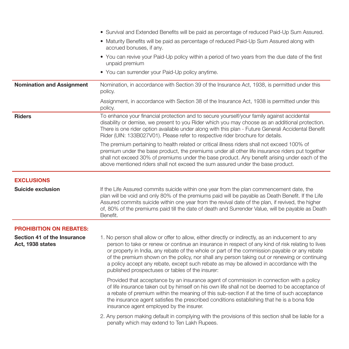|                                                 | • Survival and Extended Benefits will be paid as percentage of reduced Paid-Up Sum Assured.                                                                                                                                                                                                                                                                                                                                                                                                                                                              |
|-------------------------------------------------|----------------------------------------------------------------------------------------------------------------------------------------------------------------------------------------------------------------------------------------------------------------------------------------------------------------------------------------------------------------------------------------------------------------------------------------------------------------------------------------------------------------------------------------------------------|
|                                                 | • Maturity Benefits will be paid as percentage of reduced Paid-Up Sum Assured along with<br>accrued bonuses, if any.                                                                                                                                                                                                                                                                                                                                                                                                                                     |
|                                                 | • You can revive your Paid-Up policy within a period of two years from the due date of the first<br>unpaid premium                                                                                                                                                                                                                                                                                                                                                                                                                                       |
|                                                 | • You can surrender your Paid-Up policy anytime.                                                                                                                                                                                                                                                                                                                                                                                                                                                                                                         |
| <b>Nomination and Assignment</b>                | Nomination, in accordance with Section 39 of the Insurance Act, 1938, is permitted under this<br>policy.                                                                                                                                                                                                                                                                                                                                                                                                                                                 |
|                                                 | Assignment, in accordance with Section 38 of the Insurance Act, 1938 is permitted under this<br>policy.                                                                                                                                                                                                                                                                                                                                                                                                                                                  |
| <b>Riders</b>                                   | To enhance your financial protection and to secure yourself/your family against accidental<br>disability or demise, we present to you Rider which you may choose as an additional protection.<br>There is one rider option available under along with this plan - Future Generali Accidental Benefit<br>Rider (UIN: 133B027V01). Please refer to respective rider brochure for details.                                                                                                                                                                  |
|                                                 | The premium pertaining to health related or critical illness riders shall not exceed 100% of<br>premium under the base product, the premiums under all other life insurance riders put together<br>shall not exceed 30% of premiums under the base product. Any benefit arising under each of the<br>above mentioned riders shall not exceed the sum assured under the base product.                                                                                                                                                                     |
| <b>EXCLUSIONS</b>                               |                                                                                                                                                                                                                                                                                                                                                                                                                                                                                                                                                          |
| <b>Suicide exclusion</b>                        | If the Life Assured commits suicide within one year from the plan commencement date, the<br>plan will be void and only 80% of the premiums paid will be payable as Death Benefit. If the Life<br>Assured commits suicide within one year from the revival date of the plan, if revived, the higher<br>of, 80% of the premiums paid till the date of death and Surrender Value, will be payable as Death<br>Benefit.                                                                                                                                      |
| <b>PROHIBITION ON REBATES:</b>                  |                                                                                                                                                                                                                                                                                                                                                                                                                                                                                                                                                          |
| Section 41 of the Insurance<br>Act, 1938 states | 1. No person shall allow or offer to allow, either directly or indirectly, as an inducement to any<br>person to take or renew or continue an insurance in respect of any kind of risk relating to lives<br>or property in India, any rebate of the whole or part of the commission payable or any rebate<br>of the premium shown on the policy, nor shall any person taking out or renewing or continuing<br>a policy accept any rebate, except such rebate as may be allowed in accordance with the<br>published prospectuses or tables of the insurer: |
|                                                 | Provided that acceptance by an insurance agent of commission in connection with a policy<br>of life insurance taken out by himself on his own life shall not be deemed to be acceptance of<br>a rebate of premium within the meaning of this sub-section if at the time of such acceptance<br>the insurance agent satisfies the prescribed conditions establishing that he is a bona fide<br>insurance agent employed by the insurer.                                                                                                                    |
|                                                 | 2. Any person making default in complying with the provisions of this section shall be liable for a<br>penalty which may extend to Ten Lakh Rupees.                                                                                                                                                                                                                                                                                                                                                                                                      |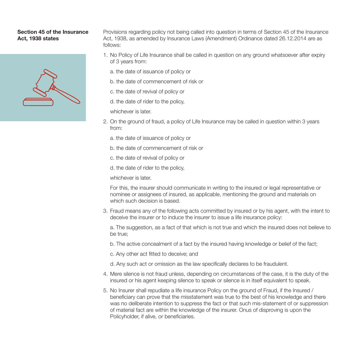### **Section 45 of the Insurance Act, 1938 states**



Provisions regarding policy not being called into question in terms of Section 45 of the Insurance Act, 1938, as amended by Insurance Laws (Amendment) Ordinance dated 26.12.2014 are as follows:

- 1. No Policy of Life Insurance shall be called in question on any ground whatsoever after expiry of 3 years from:
	- a. the date of issuance of policy or
	- b. the date of commencement of risk or
	- c. the date of revival of policy or
	- d. the date of rider to the policy,
	- whichever is later.
- 2. On the ground of fraud, a policy of Life Insurance may be called in question within 3 years from:
	- a. the date of issuance of policy or
	- b. the date of commencement of risk or
	- c. the date of revival of policy or
	- d. the date of rider to the policy,
	- whichever is later.

 For this, the insurer should communicate in writing to the insured or legal representative or nominee or assignees of insured, as applicable, mentioning the ground and materials on which such decision is based.

3. Fraud means any of the following acts committed by insured or by his agent, with the intent to deceive the insurer or to induce the insurer to issue a life insurance policy:

 a. The suggestion, as a fact of that which is not true and which the insured does not believe to be true;

- b. The active concealment of a fact by the insured having knowledge or belief of the fact;
- c. Any other act fitted to deceive; and
- d. Any such act or omission as the law specifically declares to be fraudulent.
- 4. Mere silence is not fraud unless, depending on circumstances of the case, it is the duty of the insured or his agent keeping silence to speak or silence is in itself equivalent to speak.
- 5. No Insurer shall repudiate a life insurance Policy on the ground of Fraud, if the Insured / beneficiary can prove that the misstatement was true to the best of his knowledge and there was no deliberate intention to suppress the fact or that such mis-statement of or suppression of material fact are within the knowledge of the insurer. Onus of disproving is upon the Policyholder, if alive, or beneficiaries.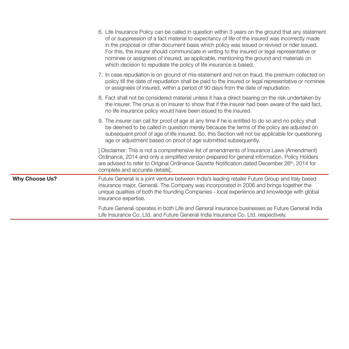|                       | 6. Life Insurance Policy can be called in question within 3 years on the ground that any statement<br>of or suppression of a fact material to expectancy of life of the insured was incorrectly made<br>in the proposal or other document basis which policy was issued or revived or rider issued.<br>For this, the insurer should communicate in writing to the insured or legal representative or<br>nominee or assignees of insured, as applicable, mentioning the ground and materials on<br>which decision to repudiate the policy of life insurance is based. |
|-----------------------|----------------------------------------------------------------------------------------------------------------------------------------------------------------------------------------------------------------------------------------------------------------------------------------------------------------------------------------------------------------------------------------------------------------------------------------------------------------------------------------------------------------------------------------------------------------------|
|                       | 7. In case repudiation is on ground of mis-statement and not on fraud, the premium collected on<br>policy till the date of repudiation shall be paid to the insured or legal representative or nominee<br>or assignees of insured, within a period of 90 days from the date of repudiation.                                                                                                                                                                                                                                                                          |
|                       | 8. Fact shall not be considered material unless it has a direct bearing on the risk undertaken by<br>the insurer. The onus is on insurer to show that if the insurer had been aware of the said fact.<br>no life insurance policy would have been issued to the insured.                                                                                                                                                                                                                                                                                             |
|                       | 9. The insurer can call for proof of age at any time if he is entitled to do so and no policy shall<br>be deemed to be called in question merely because the terms of the policy are adjusted on<br>subsequent proof of age of life insured. So, this Section will not be applicable for questioning<br>age or adjustment based on proof of age submitted subsequently.                                                                                                                                                                                              |
|                       | [Disclaimer: This is not a comprehensive list of amendments of Insurance Laws (Amendment)<br>Ordinance, 2014 and only a simplified version prepared for general information. Policy Holders<br>are advised to refer to Original Ordinance Gazette Notification dated December 26th, 2014 for<br>complete and accurate details].                                                                                                                                                                                                                                      |
| <b>Why Choose Us?</b> | Future Generali is a joint venture between India's leading retailer Future Group and Italy based<br>insurance major, Generali. The Company was incorporated in 2006 and brings together the<br>unique qualities of both the founding Companies - local experience and knowledge with global<br>insurance expertise.                                                                                                                                                                                                                                                  |
|                       | Future Generali operates in both Life and General insurance businesses as Future Generali India<br>Life Insurance Co. Ltd. and Future Generali India Insurance Co. Ltd. respectively.                                                                                                                                                                                                                                                                                                                                                                                |